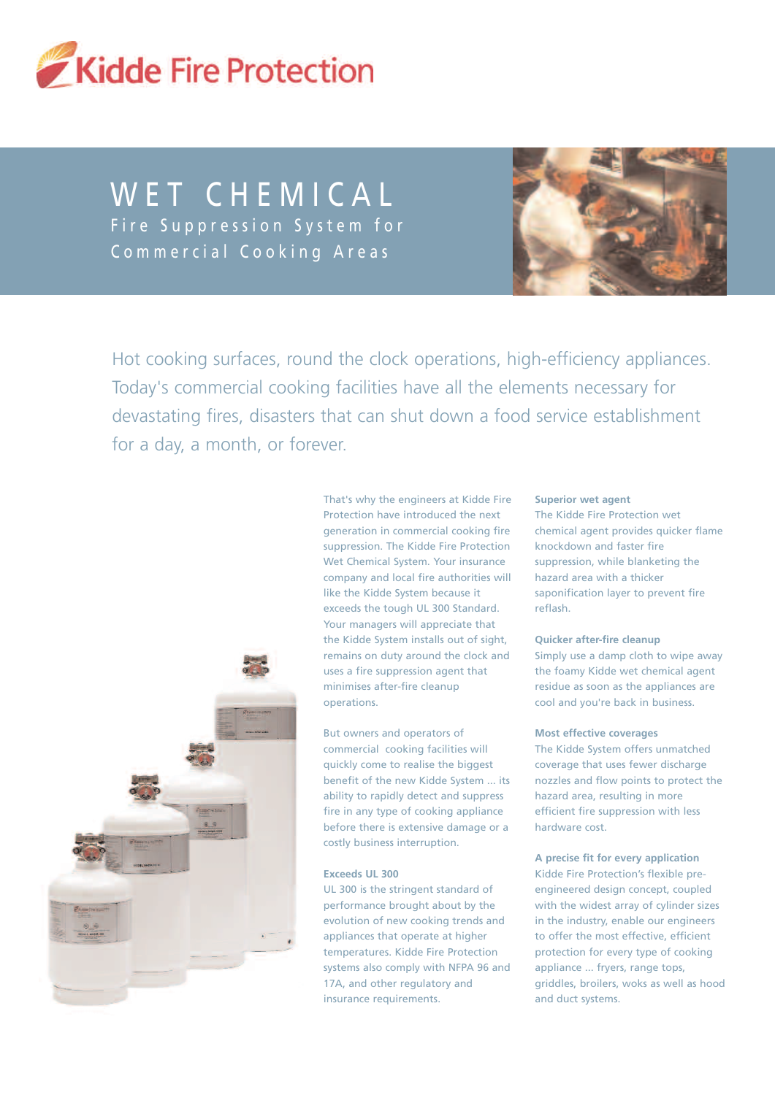

# WET CHEMICAL Fire Suppression System for Commercial Cooking Areas



Hot cooking surfaces, round the clock operations, high-efficiency appliances. Today's commercial cooking facilities have all the elements necessary for devastating fires, disasters that can shut down a food service establishment for a day, a month, or forever.



That's why the engineers at Kidde Fire Protection have introduced the next generation in commercial cooking fire suppression. The Kidde Fire Protection Wet Chemical System. Your insurance company and local fire authorities will like the Kidde System because it exceeds the tough UL 300 Standard. Your managers will appreciate that the Kidde System installs out of sight, remains on duty around the clock and uses a fire suppression agent that minimises after-fire cleanup operations.

But owners and operators of commercial cooking facilities will quickly come to realise the biggest benefit of the new Kidde System ... its ability to rapidly detect and suppress fire in any type of cooking appliance before there is extensive damage or a costly business interruption.

# **Exceeds UL 300**

UL 300 is the stringent standard of performance brought about by the evolution of new cooking trends and appliances that operate at higher temperatures. Kidde Fire Protection systems also comply with NFPA 96 and 17A, and other regulatory and insurance requirements.

### **Superior wet agent**

The Kidde Fire Protection wet chemical agent provides quicker flame knockdown and faster fire suppression, while blanketing the hazard area with a thicker saponification layer to prevent fire reflash.

### **Quicker after-fire cleanup**

Simply use a damp cloth to wipe away the foamy Kidde wet chemical agent residue as soon as the appliances are cool and you're back in business.

### **Most effective coverages**

The Kidde System offers unmatched coverage that uses fewer discharge nozzles and flow points to protect the hazard area, resulting in more efficient fire suppression with less hardware cost.

### **A precise fit for every application**

Kidde Fire Protection's flexible preengineered design concept, coupled with the widest array of cylinder sizes in the industry, enable our engineers to offer the most effective, efficient protection for every type of cooking appliance ... fryers, range tops, griddles, broilers, woks as well as hood and duct systems.